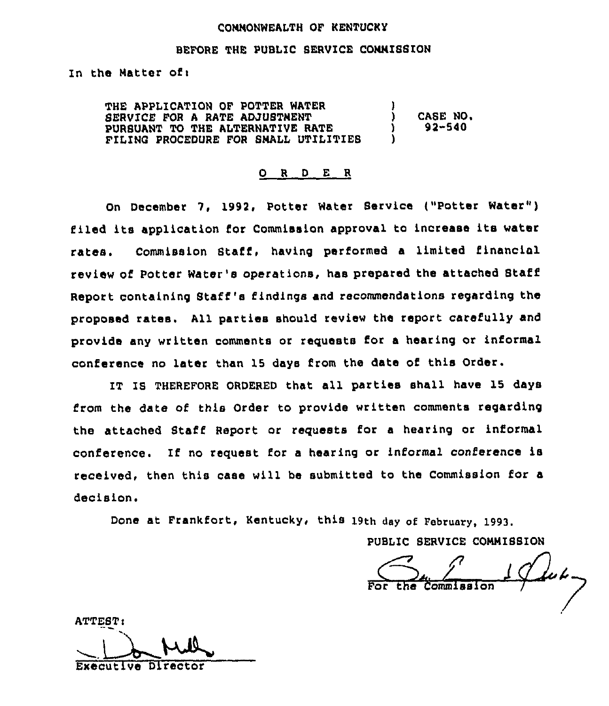#### COMNONWEALTH OF KENTUCKY

#### BEFORE THE PUBLIC SERVICE COMMISSION

In the Matter of:

THE APPLICATION OF POTTER WATER 8ERVICE FOR A RATE ADJUSTMENT PURSUANT TO THE ALTERNATIVE RATE FILIWC PROCEDURE FOR SMALL UTILITIES ) ) CASE NO, ) 92-540 )

#### R D E R O

On December 7, 1992, Potter Water Service ("Potter Water") filed its application for Commission approval to increase its water rates. Commission Staff, having performed a limited financial review of Potter Water's operations, has prepared the attached Staff Report containing Staff's findings and recommendations regarding the proposed rates. All parties should review the report carefully and provide any written comments or requests for a hearing or informal conference no later than 15 days from the date of this Order.

IT IS THEREFORE ORDERED that all parties shall have 15 days from the date of this Order to provide written comments regarding the attached Staff Report or requests for a hearing or informal conference. If no request for <sup>a</sup> hearing or informal conference is received, then this case will be submitted to the Commission for a decision.

Done at Frankfort, Kentucky, this 19th day of February, 1993.

PUBLIC SERVICE COMMISSION

ATTEST: Executive Director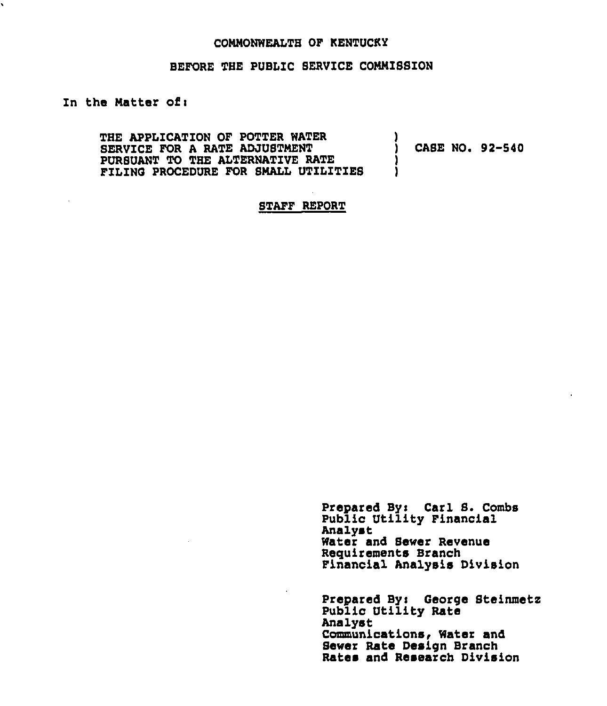#### COMMONWEALTH OF KENTUCKY

#### BEFORE THE PUBLIC SERVICE COMMISSION

#### In the Matter of:

 $\cdot$ 

THE APPLICATION OF POTTER WATER SERVICE FOR A RATE ADJUSTNENT PURSUANT TO THE ALTERNATIVE RATE FILING PROCEDURE FOR SMALL UTILITIES

CASE NO. 92-540

#### STAFF REPORT

Prepared Bys Carl S. Combs Public Utility Financial Analyst Water and Sewer Revenue Requirements Branch Financial Analysis Division

Prepared Bys George Steinmetz Public Utility Rate Analyat Communications, Water and Sewer Rate Design Branch Rates and Research Division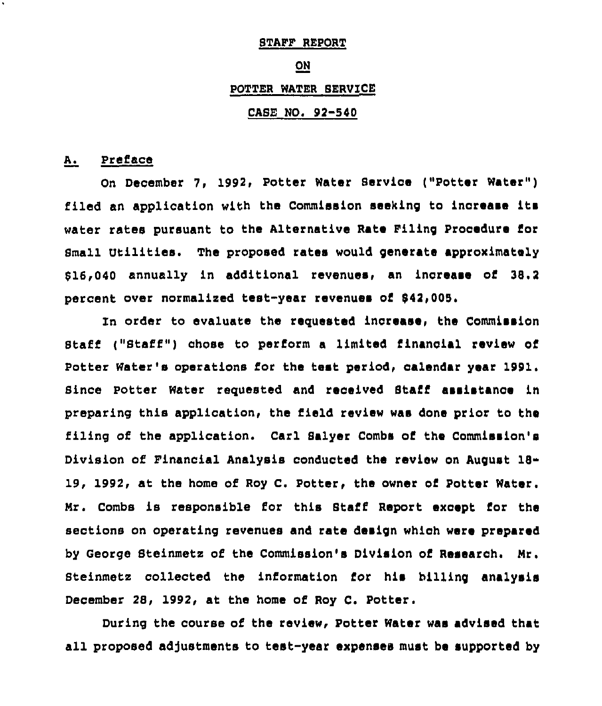#### STAFF REPORT

#### ON

### POTTER WATER SERVICE

# CASE NO. 92-540

# A. Preface

On December 7, 1992, Potter Water Service ("Potter Water" ) filed an application with the Commission seeking to increase its water rates pursuant to the Alternative Rate Piling Prooedure for Small Utilities. The proposed rates would generate approximately \$16,040 annually in additional revenues, an increase of 38.2 percent over normalized test-year revenues of \$42,005.

In order to evaluate the requested increase, the Commission Staff ("Staff") chose to perform a limited financial review of Potter Water's operations for the test period, calendar year 1991. Since potter Water reguested and received Staff assistance in preparing this application, the field review was done prior to the filing of the application. Carl Salyer Combs of the Commission's Division of Pinancial Analysis conducted the review on August 18- 19, 1992, at the home of Roy C. Potter, the owner of Potter Water. Mr. Combs is responsible for this Staff Report except for the sections on operating revenues and rate design whioh were prepared by George Steinmetz of the Commission's Division of Research. Mr. Steinmetz collected the information for his billing analysis December 28, 1992, at the home of Roy C. Potter.

During the course of the review, Potter Water was advised that all proposed adjustments to test-year expenses must be supported by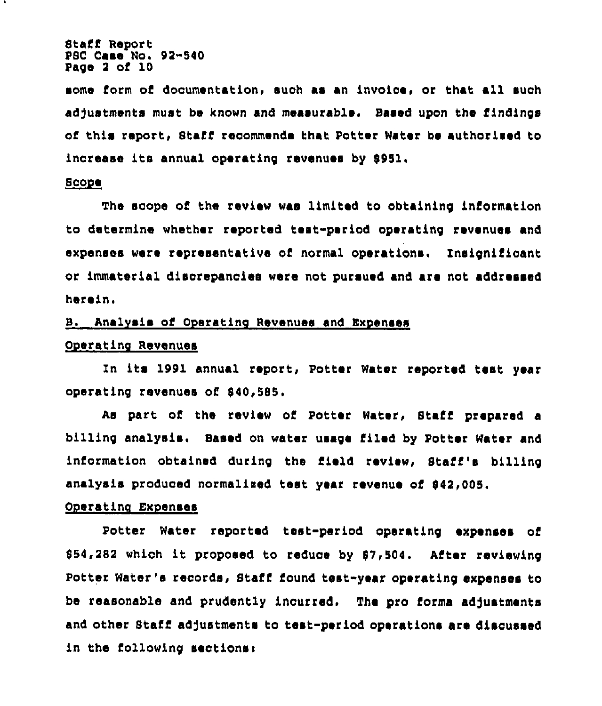Staff Report PSC Case No. 92-\$40 Page <sup>2</sup> of 10

some form of dooumentation, suoh as an invoioe, or that all suoh adjustments must be known and measurable. Based upon the findings of this report, Staff recommends that Potter Water be authorised to inorease its annual operating revenues by 5951.

#### ~8co e

The scope of the review was limited to obtaining information to determine whether reported test-period operating revenues and expenses were representative of normal operations. lnsignifioant or immaterial disorepanoiee were not pursued and are not addressed herein.

### B. Analvsis of Ooeratino Revenues and Exoenses

### Operating Revenues

Zn its 1991 annual report, Potter Water reported test year operating revenues of \$40,585.

As part of the review of Potter Water, Staff prepared a billing analysis. Based on water usage filed by Potter Water and information obtained during the field review, Staff's billing analysis produced normalised test year revenue of \$42,005.

#### Ooeratino Exoenses

Potter Water reported test-period operating expenses of 5\$4,282 whioh it proposed to reduoe by 57,504. After reviewing Potter Water's records, Staff found test-year operating expenses to be reasonable and prudently incurred. The pro forma adjustments and other Staff ad)ustments to test-period operations are discussed in the following seotionsi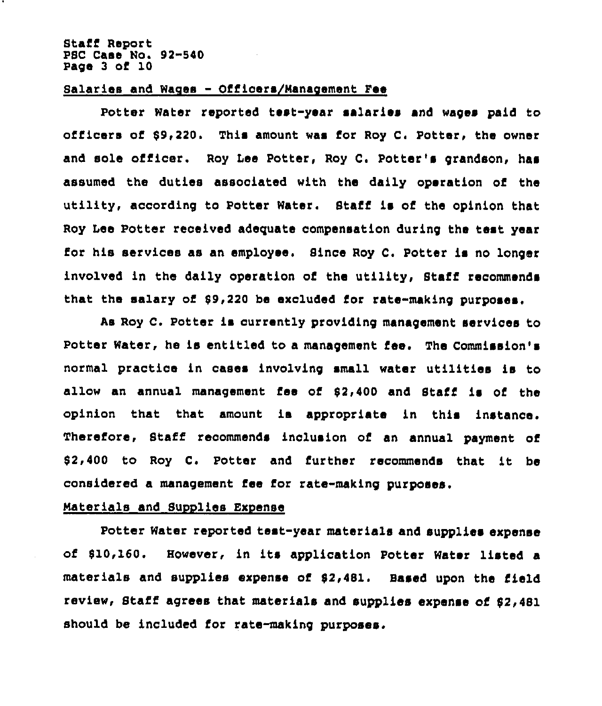#### staff Report PSC Case No. 92-540 Page 3 of 10

#### Salaries and Wages - Officers/Nanacement Fee

Potter Water reported test-year salaries and wages paid to officers of \$9,220. This amount was ior Roy C. Potter, the owner and sole officer. Roy Lee Potter, Roy C. Potter's grandson, has assumed the duties associated with the daily operation of the utility, according to Potter Water. Staff is of the opinion that Roy Lee Potter received adequate compensation during the test year for his services as an employee, Since Roy C. Potter is no longer involved in the daily operation of the utility, Staff recommends that the salary of \$9,220 be excluded for rate-making purposes.

As Roy C. Potter is currently providing management services to Potter Water, he is entitled to a management fee. The Commission's normal practice in cases involving small water utilities is to allow an annual management fee of \$2,400 and Staff is of the opinion that that amount is appropriate in this instance. Therefore, Staff recommends inclusion of an annual payment of \$ 2,400 to Roy C. Potter and further recommends that it be considered a management fee for rate-making purposes.

#### Materials and Supplies Expense

Potter Water reported test-year materials and supplies expense of \$10,160. However, in its application Potter Water listed a materials and supplies expense of \$2,481. Based upon the field review, Staff agrees that materials and supplies expense of \$2,481 should be included for rate-making purposes.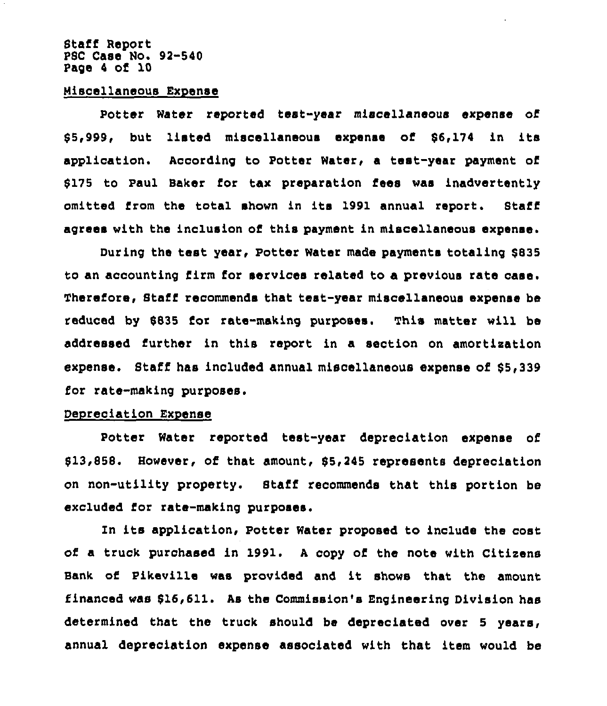#### Stafi Report P8C Case No. 92-540 Page <sup>4</sup> of 10

#### Wiscellaneous Expense

Potter Water reported test-year miscellaneous expense of 85,999, but listed miscellaneous expense of 86,174 in its application. According to Potter Water, a test-year payment of 8175 to Paul Baker for tax preparation fees was inadvertently omitted from the total shown in its 1991 annual report. Btaff agrees with the inclusion of this payment in miscellaneous expense.

During the test year, Potter Water made payments totaling \$835 to an accounting firm for services related to a previous rate case. Therefore, Staff recommends that test-year miscellaneous expense be reduced by 8835 for rate-making purposes. This matter will be addressed further in this report in a section on amortization expense. Staff has included annual miscellaneous expense of \$5,339 for rate-making purposes.

#### Depreciation Expense

Potter Water reported test-year depreciation expense of \$13,858. However, of that amount, \$5,245 represents depreciation on non-utility property. Staff recommends that this portion be excluded for rate-making purposes.

Zn its application, Potter Water proposed to include the cost of a truck purchased in 1991. <sup>A</sup> copy of the note with Citizens Bank of Pikeville was provided and it shows that the amount financed was 816,611. As the Commission's Engineering Division has determined that the truck should be depreciated over 5 years, annual depreciation expense associated with that item would be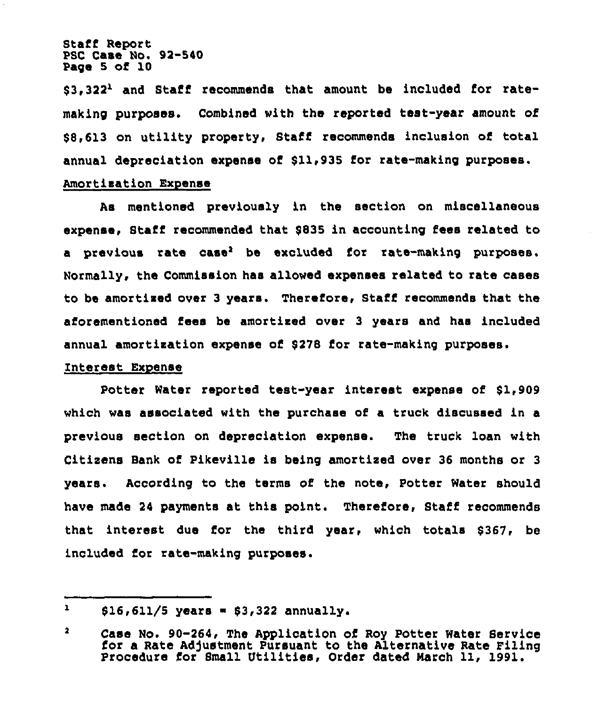Staff Report PSC Case No. 92-540 Page 5 of 10

 $53,322<sup>1</sup>$  and Staff recommends that amount be included for ratemaking purposes. Combined with the reported teat-year amount of \$8,613 on utility property, Staff recommends inclusion of total annual depreciation expense of 811,935 for rate-making purposes. Amortisation Expense

As mentioned previously in the section on miscellaneous expense, Staff recommended that 8835 in accounting fees related to a previous rate case<sup>2</sup> be excluded for rate-making purposes. Normally, the Commission has allowed expenses related to rate cases to be amortised over <sup>3</sup> years. Therefore, Staff recommends that the aforementioned fees be amortised over 3 years and has included annual amortisation expense of 8278 for rata-making purposes.

#### Interest Expense

Potter Water reported test-year interest expense of \$1,909 which was associated with the purchase of a truck discussed in a previous section on depreciation expense. The truck loan with Citisens Bank of Pikeville is being amortised over 36 months or <sup>3</sup> years. According to the terms of the note, Potter Water should have made 24 payments at this point. Therefore, Staff recommends that interest due for the third year, which totals \$367, be included for rate-making purposes.

 $\mathbf{r}$  $$16,611/5$  years =  $$3,322$  annually.

 $\overline{\mathbf{2}}$ Case No. 90-264< The Application of Roy Potter Water Service for a Rate Adjustment Pursuant to the Alternative Rate Filing Procedure for Small Utilities, Order dated March 11, 1991.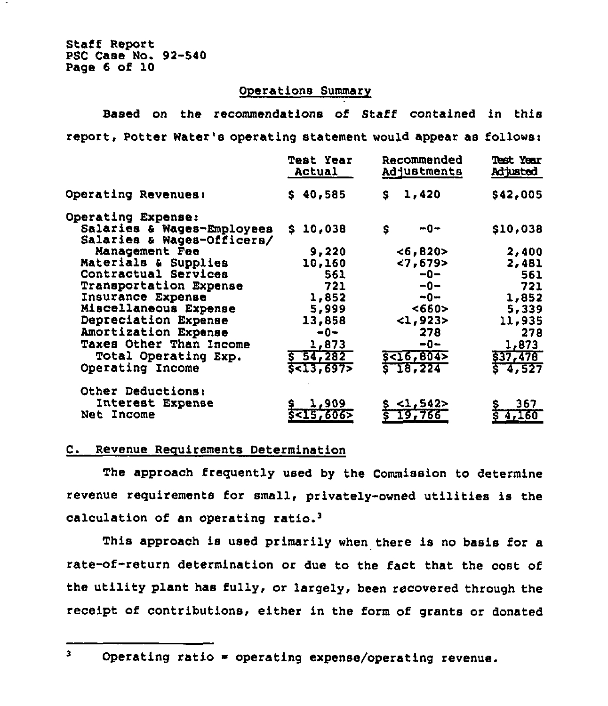Staff Report PSC Case No. 92-540 Page 6 of 10

## Operations Summary

Based on the recommendations of Staff contained in this report, Potter Water's operating statement would appear as follows:

|                                                          | <b>Test Year</b><br>Actual | Recommended<br>Adjustments | <b>Test Year</b><br>Adjusted |
|----------------------------------------------------------|----------------------------|----------------------------|------------------------------|
| Operating Revenues:                                      | \$40,585                   | 1,420<br>S.                | \$42,005                     |
| Operating Expense:                                       |                            |                            |                              |
| Salaries & Wages-Employees<br>Salaries & Wages-Officers/ | 10,038<br>S.               | \$<br>--0                  | \$10,038                     |
| Management Fee                                           | 9,220                      | < 6, 820                   | 2,400                        |
| Materials & Supplies                                     | 10,160                     | < 7,679                    | 2,481                        |
| Contractual Services                                     | 561                        | $-0-$                      | 561                          |
| Transportation Expense                                   | 721                        | $-0-$                      | 721                          |
| Insurance Expense                                        | 1,852                      | -0−                        | 1,852                        |
| Miscellaneous Expense                                    | 5,999                      | <660>                      | 5,339                        |
| Depreciation Expense                                     | 13,858                     | 21,923>                    | 11,935                       |
| Amortization Expense                                     | $-0-$                      | 278                        | 278                          |
| Taxes Other Than Income                                  | 1,873                      | $-0-$                      | 1,873                        |
| Total Operating Exp.                                     | $5 - 54, 282$              | 5<16,804>                  | \$37,478                     |
| Operating Income                                         | 5<13,6975                  | \$T8,224                   | $5 - 4, 527$                 |
| Other Deductions:                                        |                            |                            |                              |
| Interest Expense                                         | 1,909                      | \$ <1,542>                 | 367                          |
| Net Income                                               | 5 < 15,606                 | 19,766<br>Ś                | 4,160                        |

# C. Revenue Requirements Determination

The approach freguently used by the Commission to determine revenue reguirements for small, privately-owned utilities is the calculation of an operating

This approach is used primarily when there is no basis for a rate-of-return determination or due to the fact that the cost of the utility plant has fully, or largely, been recovered through the receipt of contributions, either in the form of grants or donated

 $\mathbf{3}$ 

Operating ratio = operating expense/operating revenue.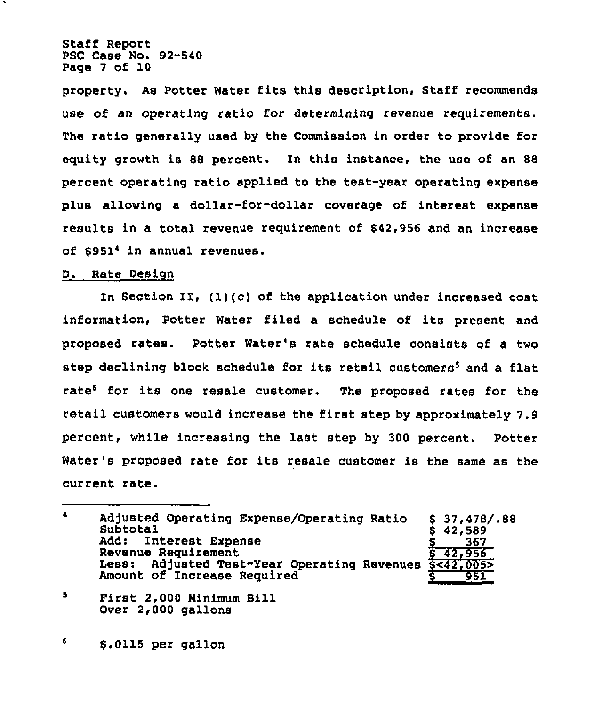Staff Report PSC Case No. 92-540 Page 7 of 10

property. As Potter Water fits this description, Staff recommends use of an operating ratio for determining revenue requirements. The ratio generally used by the Commission in order to provide for equity growth is 88 percent. In this instance, the use of an 88 percent operating ratio applied to the test-year operating expense plus allowing a dollar-for-dollar coverage of interest expense results in a total revenue requirement of \$42,956 and an increase of \$9514 in annual revenues.

### D. Rate Design

In Section II, (1)(c) of the application under increased cost information, Potter Water filed a schedule of its present and proposed rates. Potter Water's rate schedule consists of a two step declining block schedule for its retail customers<sup>5</sup> and a flat rate<sup>6</sup> for its one resale customer. The proposed rates for the retail customers would increase the first step by approximately 7.9 percent, while increasing the last step by 300 percent. Potter Water's proposed rate for its resale customer is the same as the current rate.

 $\blacktriangle$ Adjusted Operating Expense/Operating Ratio Subtotal  $$37,478/.88$  $$ 42,589$ <br> $$ 367$ <br> $$ 42,956$ Interest Expense 367 Revenue Requirement<br>Less: Adjusted Tes 8 42,956 Less: Adjusted Test-Year Operating Revenues \$<42,005> Amount of Increase Required 951

5 First 2,000 Minimum Bill Over 2,000 gallons

6 \$.0115 per gallon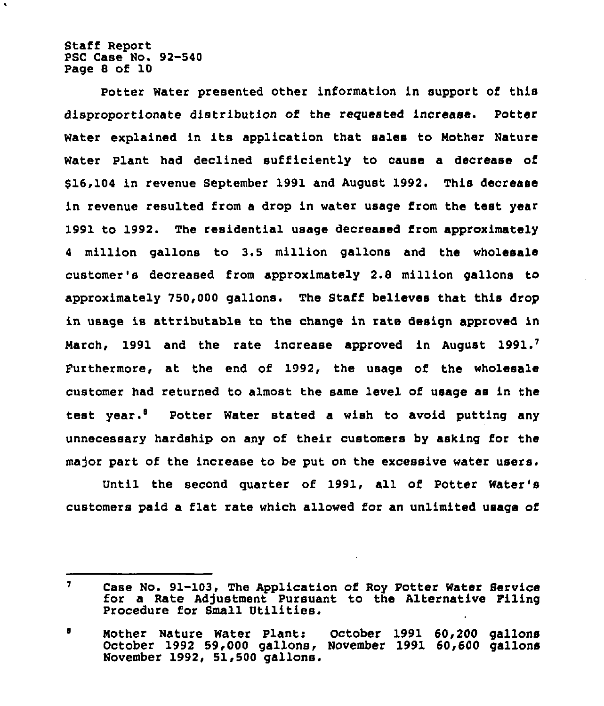Staff Report PSC Case No. 92-540 Page 8 of 10

Potter Water presented other information in support of this disproportionate distribution of the requested increase. Potter Water explained in its application that salas to Mother Nature Water Plant had declined sufficiently to cause a decrease of \$16,104 in revenue September 1991 and August 1992. This decrease in revenue resulted from a drop in water usage from the test year 1991 to 1992. The residential usage decreased from approximately <sup>4</sup> million gallons to 3.5 million gallons and the wholesale customer's decreased from approximately 2.8 million gallons to approximately 750,000 gallons. The Staff believes that this drop in usage is attributable to the change in rate design approved in March, 1991 and the rate increase approved in August 1991.<sup>7</sup> Furthermore, at the end of 1992, the usage of the wholesale customer had returned to almost the same level of usage as in the test year.<sup>8</sup> Potter Water stated a wish to avoid putting any unnecessary hardship on any of their customers by asking for the major part of the increase to be put on the excessive water users.

Until the second quarter of 1991, all of Potter Water's customers paid a flat rate which allowed for an unlimited usage of

 $\mathbf{7}$ Case No. 91-103, The Application of Roy Potter Water Service for a Rate Adjustment Pursuant to the Alternative Filing Procedure for Small Vtilities.

<sup>6</sup> Mother Nature Water Plant: October 1991 60,200 gallons October 1992 59,000 gallons, November 1991 60,600 gallons November 1992, 51,500 gallons.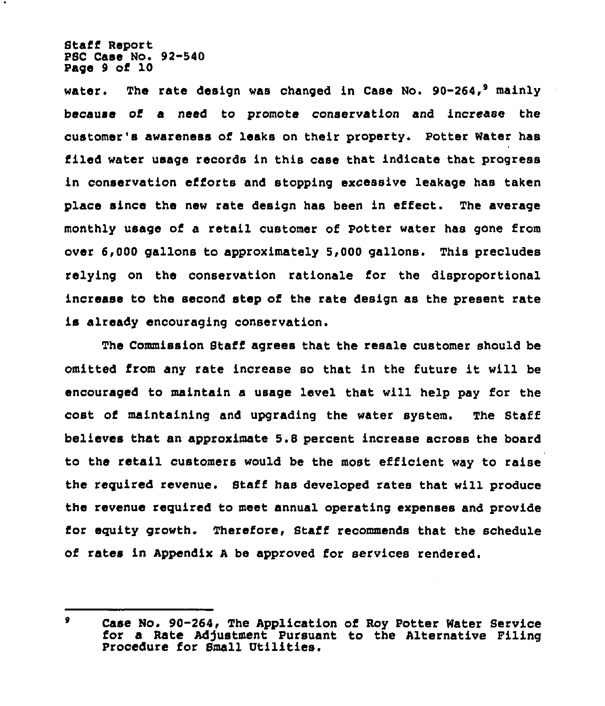Staff Report PSC Case No. 92-540 Page 9 of 10

water. The rate design was changed in Case No.  $90-264$ , mainly because of a need to promote conservation and increase the customer's awareness of leaks on their property. potter Water has filed water usage records in this case that indicate that progress in conservation efforts and stopping excessive leakage has taken place since the new rate design has been in effect. The average monthly usage of a retail customer of Potter water has gone from over 6,000 gallons to approximately 5,000 gallons. This precludes relying on the conservation rationale for the disproportional increase to the second step of the rate design as the present rate is already encouraging conservation.

The Commission Staff agrees that the resale customer should be omitted from any rate increase so that in the future it will be encouraged to maintain a usage level that will help pay for the cost of maintaining and upgrading the water system. The Staff believes that an approximate 5.8 percent increase across the board to the retail customers would be the most efficient way to raise the required revenue. Staff has developed rates that will produce the revenue required to meet annual operating expenses and provide for equity growth. Therefore, Staff recommends that the schedule of rates in Appendix <sup>A</sup> be approved for services rendered.

 $\bullet$ Case No. 90-264, The Application of Roy Potter Water Service for a Rate Adjustment Pursuant to the Alternative Filing Procedure for Small Utilities.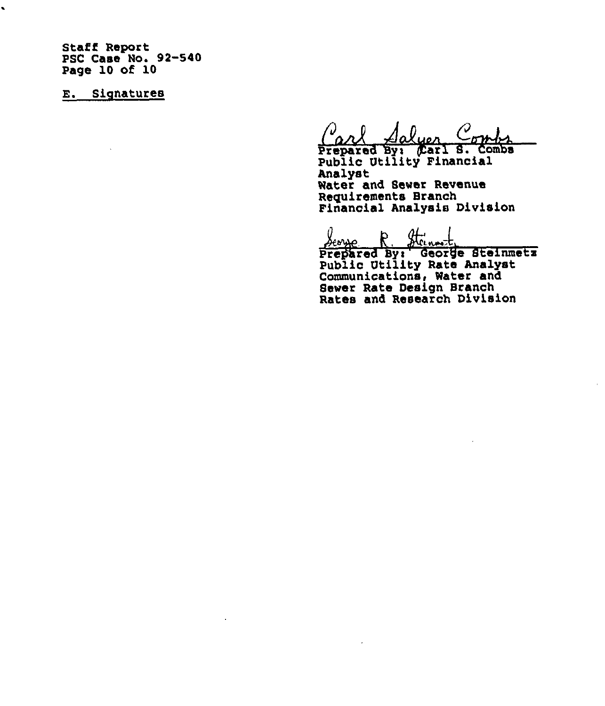Staff Report PSC Case Ho. 92-540 Page 10 of 10

E. Signatures

 $\ddot{\phantom{0}}$ 

Prepared By: (Carl S. Combs Public Utility Financia Analyst Water and Sewer Revenue Requirements Branch Financial Analysis Division

Prepared By: George Steinmet Public Utility Rate Analys Communications, Water and Sewer Rate Design Branch

Rates and Research Divisio